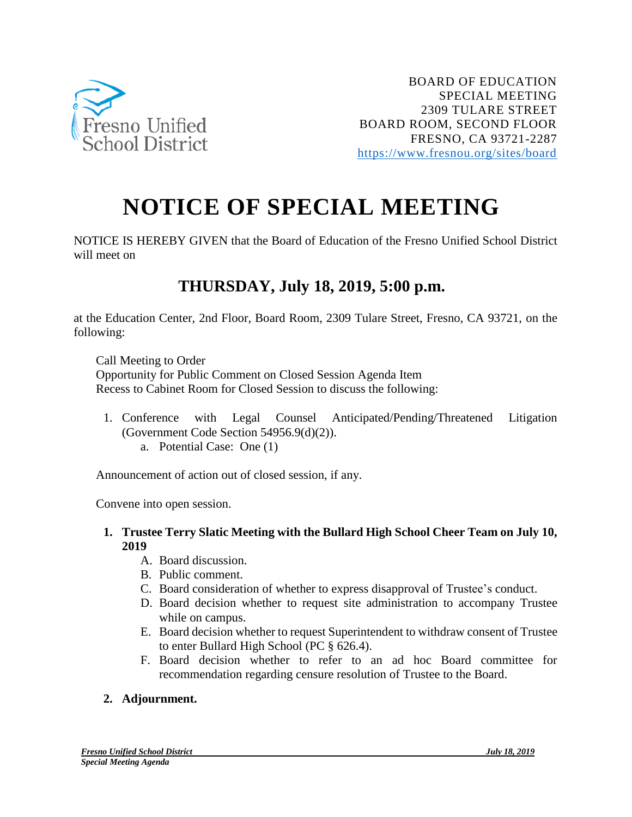

## **NOTICE OF SPECIAL MEETING**

NOTICE IS HEREBY GIVEN that the Board of Education of the Fresno Unified School District will meet on

## **THURSDAY, July 18, 2019, 5:00 p.m.**

at the Education Center, 2nd Floor, Board Room, 2309 Tulare Street, Fresno, CA 93721, on the following:

Call Meeting to Order Opportunity for Public Comment on Closed Session Agenda Item Recess to Cabinet Room for Closed Session to discuss the following:

1. Conference with Legal Counsel Anticipated/Pending/Threatened Litigation (Government Code Section 54956.9(d)(2)). a. Potential Case: One (1)

Announcement of action out of closed session, if any.

Convene into open session.

- **1. Trustee Terry Slatic Meeting with the Bullard High School Cheer Team on July 10, 2019**
	- A. Board discussion.
	- B. Public comment.
	- C. Board consideration of whether to express disapproval of Trustee's conduct.
	- D. Board decision whether to request site administration to accompany Trustee while on campus.
	- E. Board decision whether to request Superintendent to withdraw consent of Trustee to enter Bullard High School (PC § 626.4).
	- F. Board decision whether to refer to an ad hoc Board committee for recommendation regarding censure resolution of Trustee to the Board.

## **2. Adjournment.**